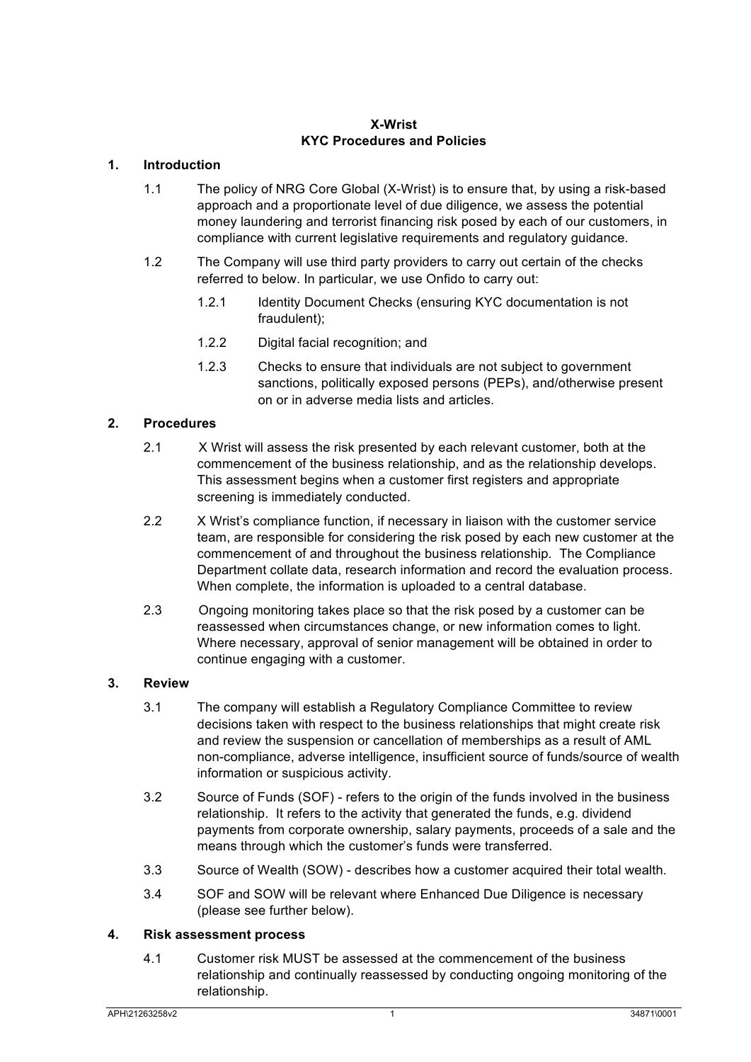#### **X-Wrist KYC Procedures and Policies**

# **1. Introduction**

- 1.1 The policy of NRG Core Global (X-Wrist) is to ensure that, by using a risk-based approach and a proportionate level of due diligence, we assess the potential money laundering and terrorist financing risk posed by each of our customers, in compliance with current legislative requirements and regulatory guidance.
- 1.2 The Company will use third party providers to carry out certain of the checks referred to below. In particular, we use Onfido to carry out:
	- 1.2.1 Identity Document Checks (ensuring KYC documentation is not fraudulent);
	- 1.2.2 Digital facial recognition; and
	- 1.2.3 Checks to ensure that individuals are not subject to government sanctions, politically exposed persons (PEPs), and/otherwise present on or in adverse media lists and articles.

# **2. Procedures**

- 2.1 X Wrist will assess the risk presented by each relevant customer, both at the commencement of the business relationship, and as the relationship develops. This assessment begins when a customer first registers and appropriate screening is immediately conducted.
- 2.2 X Wrist's compliance function, if necessary in liaison with the customer service team, are responsible for considering the risk posed by each new customer at the commencement of and throughout the business relationship. The Compliance Department collate data, research information and record the evaluation process. When complete, the information is uploaded to a central database.
- 2.3 Ongoing monitoring takes place so that the risk posed by a customer can be reassessed when circumstances change, or new information comes to light. Where necessary, approval of senior management will be obtained in order to continue engaging with a customer.

## **3. Review**

- 3.1 The company will establish a Regulatory Compliance Committee to review decisions taken with respect to the business relationships that might create risk and review the suspension or cancellation of memberships as a result of AML non-compliance, adverse intelligence, insufficient source of funds/source of wealth information or suspicious activity.
- 3.2 Source of Funds (SOF) refers to the origin of the funds involved in the business relationship. It refers to the activity that generated the funds, e.g. dividend payments from corporate ownership, salary payments, proceeds of a sale and the means through which the customer's funds were transferred.
- 3.3 Source of Wealth (SOW) describes how a customer acquired their total wealth.
- 3.4 SOF and SOW will be relevant where Enhanced Due Diligence is necessary (please see further below).

#### **4. Risk assessment process**

4.1 Customer risk MUST be assessed at the commencement of the business relationship and continually reassessed by conducting ongoing monitoring of the relationship.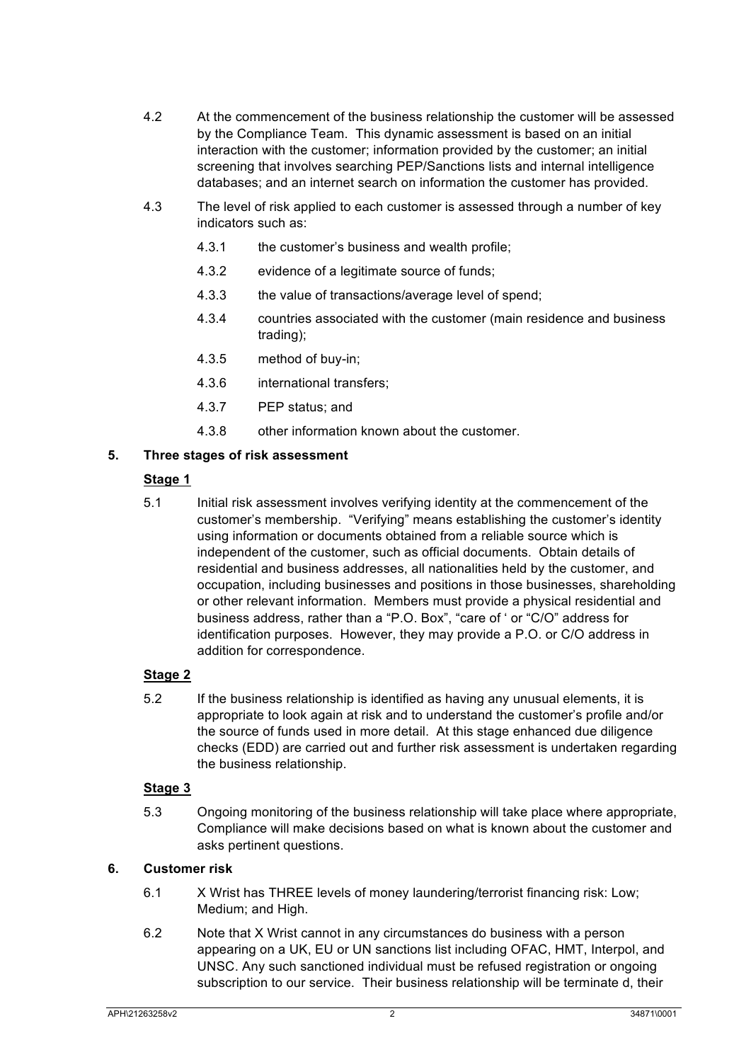- 4.2 At the commencement of the business relationship the customer will be assessed by the Compliance Team. This dynamic assessment is based on an initial interaction with the customer; information provided by the customer; an initial screening that involves searching PEP/Sanctions lists and internal intelligence databases; and an internet search on information the customer has provided.
- 4.3 The level of risk applied to each customer is assessed through a number of key indicators such as:
	- 4.3.1 the customer's business and wealth profile;
	- 4.3.2 evidence of a legitimate source of funds;
	- 4.3.3 the value of transactions/average level of spend;
	- 4.3.4 countries associated with the customer (main residence and business trading);
	- 4.3.5 method of buy-in;
	- 4.3.6 international transfers;
	- 4.3.7 PEP status; and
	- 4.3.8 other information known about the customer.

## **5. Three stages of risk assessment**

## **Stage 1**

5.1 Initial risk assessment involves verifying identity at the commencement of the customer's membership. "Verifying" means establishing the customer's identity using information or documents obtained from a reliable source which is independent of the customer, such as official documents. Obtain details of residential and business addresses, all nationalities held by the customer, and occupation, including businesses and positions in those businesses, shareholding or other relevant information. Members must provide a physical residential and business address, rather than a "P.O. Box", "care of ' or "C/O" address for identification purposes. However, they may provide a P.O. or C/O address in addition for correspondence.

# **Stage 2**

5.2 If the business relationship is identified as having any unusual elements, it is appropriate to look again at risk and to understand the customer's profile and/or the source of funds used in more detail. At this stage enhanced due diligence checks (EDD) are carried out and further risk assessment is undertaken regarding the business relationship.

## **Stage 3**

5.3 Ongoing monitoring of the business relationship will take place where appropriate, Compliance will make decisions based on what is known about the customer and asks pertinent questions.

# **6. Customer risk**

- 6.1 X Wrist has THREE levels of money laundering/terrorist financing risk: Low; Medium; and High.
- 6.2 Note that X Wrist cannot in any circumstances do business with a person appearing on a UK, EU or UN sanctions list including OFAC, HMT, Interpol, and UNSC. Any such sanctioned individual must be refused registration or ongoing subscription to our service. Their business relationship will be terminate d, their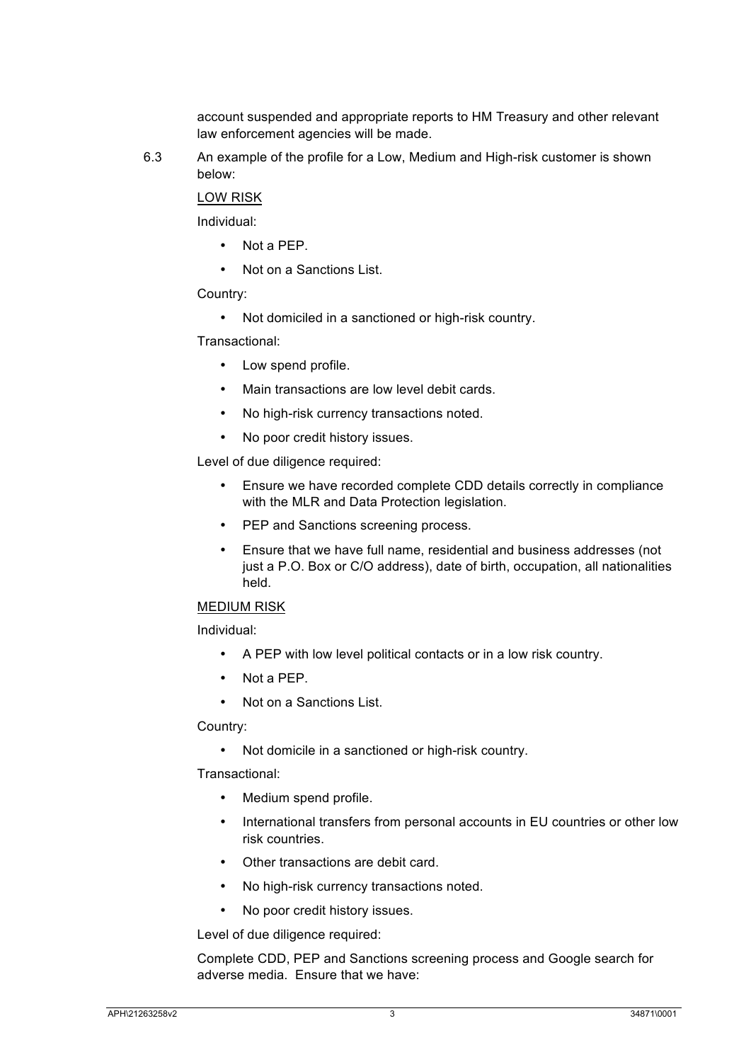account suspended and appropriate reports to HM Treasury and other relevant law enforcement agencies will be made.

6.3 An example of the profile for a Low, Medium and High-risk customer is shown below:

LOW RISK

Individual:

- Not a PEP.
- Not on a Sanctions List.

Country:

• Not domiciled in a sanctioned or high-risk country.

Transactional:

- Low spend profile.
- Main transactions are low level debit cards.
- No high-risk currency transactions noted.
- No poor credit history issues.

Level of due diligence required:

- Ensure we have recorded complete CDD details correctly in compliance with the MLR and Data Protection legislation.
- PEP and Sanctions screening process.
- Ensure that we have full name, residential and business addresses (not just a P.O. Box or C/O address), date of birth, occupation, all nationalities held.

#### MEDIUM RISK

Individual:

- A PEP with low level political contacts or in a low risk country.
- Not a PFP
- Not on a Sanctions List.

Country:

• Not domicile in a sanctioned or high-risk country.

Transactional:

- Medium spend profile.
- International transfers from personal accounts in EU countries or other low risk countries.
- Other transactions are debit card.
- No high-risk currency transactions noted.
- No poor credit history issues.

Level of due diligence required:

Complete CDD, PEP and Sanctions screening process and Google search for adverse media. Ensure that we have: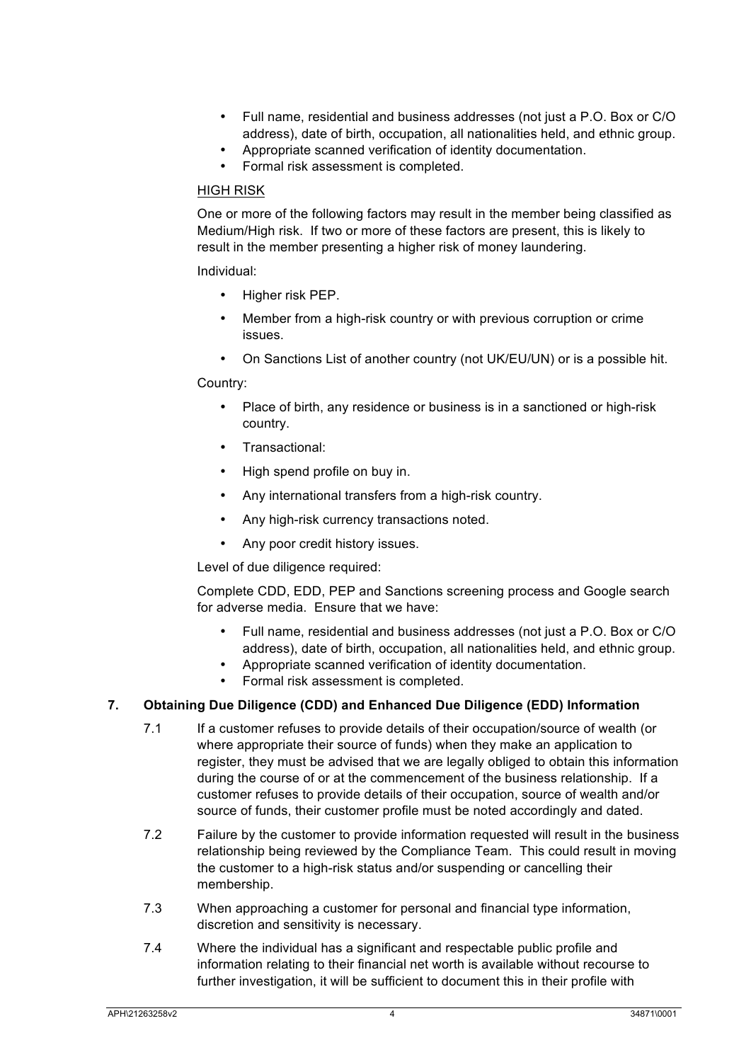- Full name, residential and business addresses (not just a P.O. Box or C/O address), date of birth, occupation, all nationalities held, and ethnic group.
- Appropriate scanned verification of identity documentation.
- Formal risk assessment is completed.

#### HIGH RISK

One or more of the following factors may result in the member being classified as Medium/High risk. If two or more of these factors are present, this is likely to result in the member presenting a higher risk of money laundering.

#### Individual:

- Higher risk PEP.
- Member from a high-risk country or with previous corruption or crime issues.
- On Sanctions List of another country (not UK/EU/UN) or is a possible hit.

#### Country:

- Place of birth, any residence or business is in a sanctioned or high-risk country.
- Transactional:
- High spend profile on buy in.
- Any international transfers from a high-risk country.
- Any high-risk currency transactions noted.
- Any poor credit history issues.

Level of due diligence required:

Complete CDD, EDD, PEP and Sanctions screening process and Google search for adverse media. Ensure that we have:

- Full name, residential and business addresses (not just a P.O. Box or C/O address), date of birth, occupation, all nationalities held, and ethnic group.
- Appropriate scanned verification of identity documentation.
- Formal risk assessment is completed.

## **7. Obtaining Due Diligence (CDD) and Enhanced Due Diligence (EDD) Information**

- 7.1 If a customer refuses to provide details of their occupation/source of wealth (or where appropriate their source of funds) when they make an application to register, they must be advised that we are legally obliged to obtain this information during the course of or at the commencement of the business relationship. If a customer refuses to provide details of their occupation, source of wealth and/or source of funds, their customer profile must be noted accordingly and dated.
- 7.2 Failure by the customer to provide information requested will result in the business relationship being reviewed by the Compliance Team. This could result in moving the customer to a high-risk status and/or suspending or cancelling their membership.
- 7.3 When approaching a customer for personal and financial type information, discretion and sensitivity is necessary.
- 7.4 Where the individual has a significant and respectable public profile and information relating to their financial net worth is available without recourse to further investigation, it will be sufficient to document this in their profile with